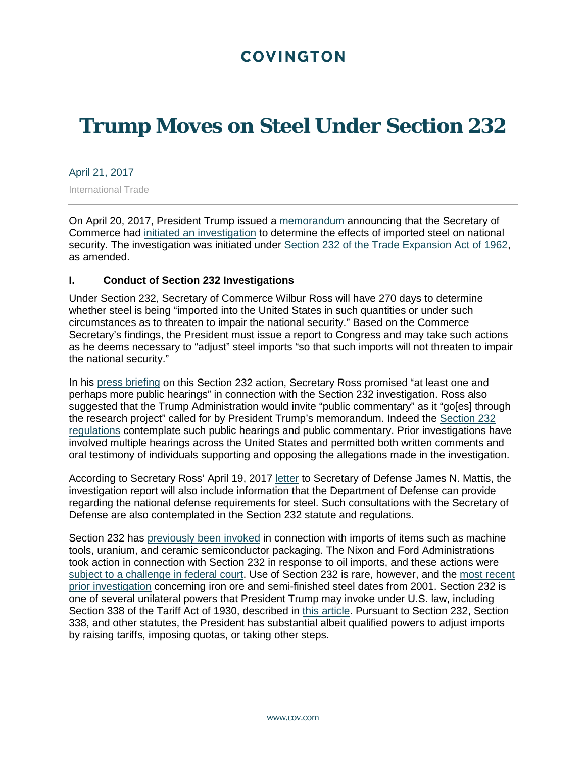## **COVINGTON**

# **Trump Moves on Steel Under Section 232**

April 21, 2017

International Trade

On April 20, 2017, President Trump issued a [memorandum](https://www.whitehouse.gov/the-press-office/2017/04/20/presidential-memorandum-secretary-commerce) announcing that the Secretary of Commerce had [initiated an investigation](https://www.commerce.gov/news/fact-sheets/2017/04/president-trump-standing-unfair-steel-trade-practices) to determine the effects of imported steel on national security. The investigation was initiated under [Section 232 of the Trade Expansion Act of 1962,](https://www.gpo.gov/fdsys/pkg/USCODE-2015-title19/pdf/USCODE-2015-title19-chap7-subchapII-partIV-sec1862.pdf) as amended.

#### **I. Conduct of Section 232 Investigations**

Under Section 232, Secretary of Commerce Wilbur Ross will have 270 days to determine whether steel is being "imported into the United States in such quantities or under such circumstances as to threaten to impair the national security." Based on the Commerce Secretary's findings, the President must issue a report to Congress and may take such actions as he deems necessary to "adjust" steel imports "so that such imports will not threaten to impair the national security."

In his [press briefing](https://www.whitehouse.gov/the-press-office/2017/04/20/press-briefing-secretary-commerce-wilbur-ross-memorandum-regarding) on this Section 232 action, Secretary Ross promised "at least one and perhaps more public hearings" in connection with the Section 232 investigation. Ross also suggested that the Trump Administration would invite "public commentary" as it "go[es] through the research project" called for by President Trump's memorandum. Indeed the [Section 232](https://www.gpo.gov/fdsys/pkg/CFR-2001-title15-vol2/pdf/CFR-2001-title15-vol2-part705.pdf)  [regulations](https://www.gpo.gov/fdsys/pkg/CFR-2001-title15-vol2/pdf/CFR-2001-title15-vol2-part705.pdf) contemplate such public hearings and public commentary. Prior investigations have involved multiple hearings across the United States and permitted both written comments and oral testimony of individuals supporting and opposing the allegations made in the investigation.

According to Secretary Ross' April 19, 2017 [letter](https://www.commerce.gov/sites/commerce.gov/files/media/files/2017/2017-04-19_2.pdf) to Secretary of Defense James N. Mattis, the investigation report will also include information that the Department of Defense can provide regarding the national defense requirements for steel. Such consultations with the Secretary of Defense are also contemplated in the Section 232 statute and regulations.

Section 232 has [previously been invoked](https://www.bis.doc.gov/index.php/other-areas/office-of-technology-evaluation-ote/section-232-investigations) in connection with imports of items such as machine tools, uranium, and ceramic semiconductor packaging. The Nixon and Ford Administrations took action in connection with Section 232 in response to oil imports, and these actions were [subject to a challenge in federal court.](http://openjurist.org/518/f2d/1051/sng-inc-v-federal-energy-administration-commonwealth-of-massachusetts-s) Use of Section 232 is rare, however, and the [most recent](https://www.bis.doc.gov/index.php/forms-documents/section-232-investigations/81-iron-ore-and-semi-finished-steel-2001/file)  [prior investigation](https://www.bis.doc.gov/index.php/forms-documents/section-232-investigations/81-iron-ore-and-semi-finished-steel-2001/file) concerning iron ore and semi-finished steel dates from 2001. Section 232 is one of several unilateral powers that President Trump may invoke under U.S. law, including Section 338 of the Tariff Act of 1930, described in [this article.](https://www.cov.com/-/media/files/corporate/publications/2016/12/law360_the_presidents_long_forgotten_power_to_raise_tariffs.pdf) Pursuant to Section 232, Section 338, and other statutes, the President has substantial albeit qualified powers to adjust imports by raising tariffs, imposing quotas, or taking other steps.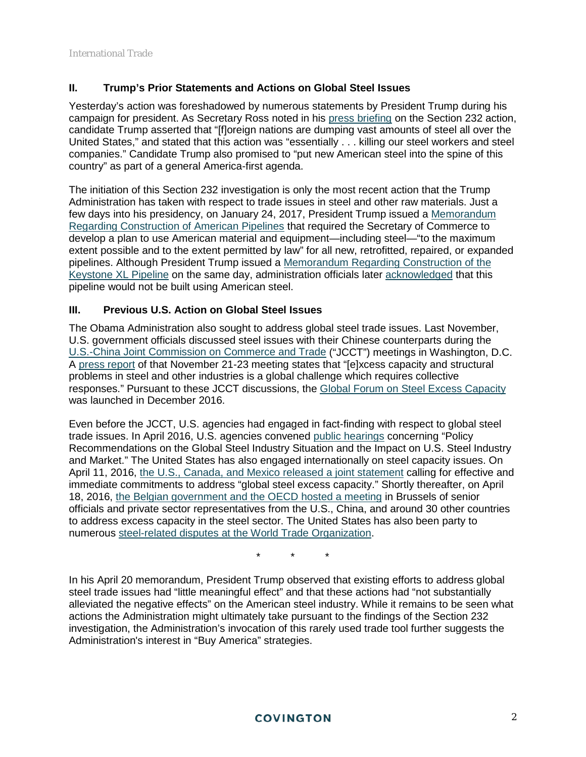#### **II. Trump's Prior Statements and Actions on Global Steel Issues**

Yesterday's action was foreshadowed by numerous statements by President Trump during his campaign for president. As Secretary Ross noted in his [press briefing](https://www.whitehouse.gov/the-press-office/2017/04/20/press-briefing-secretary-commerce-wilbur-ross-memorandum-regarding) on the Section 232 action, candidate Trump asserted that "[f]oreign nations are dumping vast amounts of steel all over the United States," and stated that this action was "essentially . . . killing our steel workers and steel companies." Candidate Trump also promised to "put new American steel into the spine of this country" as part of a general America-first agenda.

The initiation of this Section 232 investigation is only the most recent action that the Trump Administration has taken with respect to trade issues in steel and other raw materials. Just a few days into his presidency, on January 24, 2017, President Trump issued a [Memorandum](https://www.whitehouse.gov/the-press-office/2017/01/24/presidential-memorandum-regarding-construction-american-pipelines)  [Regarding Construction of American Pipelines](https://www.whitehouse.gov/the-press-office/2017/01/24/presidential-memorandum-regarding-construction-american-pipelines) that required the Secretary of Commerce to develop a plan to use American material and equipment—including steel—"to the maximum extent possible and to the extent permitted by law" for all new, retrofitted, repaired, or expanded pipelines. Although President Trump issued a [Memorandum Regarding Construction of the](https://www.whitehouse.gov/the-press-office/2017/01/24/presidential-memorandum-regarding-construction-keystone-xl-pipeline)  [Keystone XL Pipeline](https://www.whitehouse.gov/the-press-office/2017/01/24/presidential-memorandum-regarding-construction-keystone-xl-pipeline) on the same day, administration officials later [acknowledged](https://www.whitehouse.gov/the-press-office/2017/03/03/press-gaggle-principal-deputy-press-secretary-sarah-sanders-en-route) that this pipeline would not be built using American steel.

### **III. Previous U.S. Action on Global Steel Issues**

The Obama Administration also sought to address global steel trade issues. Last November, U.S. government officials discussed steel issues with their Chinese counterparts during the [U.S.-China Joint Commission on Commerce and Trade](https://ustr.gov/about-us/policy-offices/press-office/fact-sheets/2016/november/us-fact-sheet-27th-us-china-joint) ("JCCT") meetings in Washington, D.C. A [press report](https://ustr.gov/about-us/policy-offices/press-office/fact-sheets/2016/november/us-fact-sheet-27th-us-china-joint) of that November 21-23 meeting states that "[e]xcess capacity and structural problems in steel and other industries is a global challenge which requires collective responses." Pursuant to these JCCT discussions, the [Global Forum on Steel Excess Capacity](https://ustr.gov/about-us/policy-offices/press-office/press-releases/2016/december/statement-secretary-pritzker-and) was launched in December 2016.

Even before the JCCT, U.S. agencies had engaged in fact-finding with respect to global steel trade issues. In April 2016, U.S. agencies convened [public hearings](https://www.commerce.gov/news/secretary-speeches/2016/04/us-secretary-commerce-penny-pritzker-highlights-urgent-actions) concerning "Policy Recommendations on the Global Steel Industry Situation and the Impact on U.S. Steel Industry and Market." The United States has also engaged internationally on steel capacity issues. On April 11, 2016, [the U.S., Canada, and Mexico released a joint statement](http://trade.gov/press/press-releases/2016/north-american-governments-call-for-effective-and-immediate-commitments-to-address-global-steel-excess-capacity-041116.asp) calling for effective and immediate commitments to address "global steel excess capacity." Shortly thereafter, on April 18, 2016, [the Belgian government and the OECD hosted a meeting](http://www.oecd.org/newsroom/high-level-meeting-on-excess-capacity-in-steel-sector.htm) in Brussels of senior officials and private sector representatives from the U.S., China, and around 30 other countries to address excess capacity in the steel sector. The United States has also been party to numerous [steel-related disputes at the World Trade Organization.](https://www.wto.org/english/tratop_e/dispu_e/dispu_subjects_index_e.htm)

\* \* \*

In his April 20 memorandum, President Trump observed that existing efforts to address global steel trade issues had "little meaningful effect" and that these actions had "not substantially alleviated the negative effects" on the American steel industry. While it remains to be seen what actions the Administration might ultimately take pursuant to the findings of the Section 232 investigation, the Administration's invocation of this rarely used trade tool further suggests the Administration's interest in "Buy America" strategies.

#### **COVINGTON**